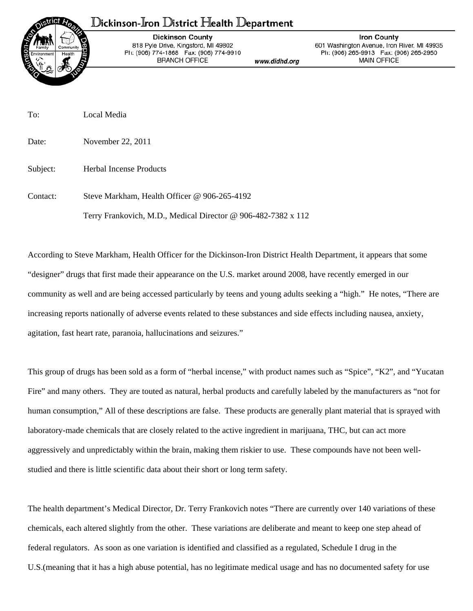## ${\mathbb D}$ ickinson-Iron  ${\mathbb D}$ istrict Health  ${\mathbb D}$ epartment



**Dickinson County** 818 Pyle Drive, Kingsford, MI 49802 Ph: (906) 774-1868 Fax: (906) 774-9910 **BRANCH OFFICE** 

www.didhd.org

**Iron County** 601 Washington Avenue, Iron River, MI 49935 Ph: (906) 265-9913 Fax: (906) 265-2950 **MAIN OFFICE** 

To: Local Media

Date: November 22, 2011

Subject: Herbal Incense Products

Contact: Steve Markham, Health Officer @ 906-265-4192 Terry Frankovich, M.D., Medical Director @ 906-482-7382 x 112

According to Steve Markham, Health Officer for the Dickinson-Iron District Health Department, it appears that some "designer" drugs that first made their appearance on the U.S. market around 2008, have recently emerged in our community as well and are being accessed particularly by teens and young adults seeking a "high." He notes, "There are increasing reports nationally of adverse events related to these substances and side effects including nausea, anxiety, agitation, fast heart rate, paranoia, hallucinations and seizures."

This group of drugs has been sold as a form of "herbal incense," with product names such as "Spice", "K2", and "Yucatan Fire" and many others. They are touted as natural, herbal products and carefully labeled by the manufacturers as "not for human consumption," All of these descriptions are false. These products are generally plant material that is sprayed with laboratory-made chemicals that are closely related to the active ingredient in marijuana, THC, but can act more aggressively and unpredictably within the brain, making them riskier to use. These compounds have not been wellstudied and there is little scientific data about their short or long term safety.

The health department's Medical Director, Dr. Terry Frankovich notes "There are currently over 140 variations of these chemicals, each altered slightly from the other. These variations are deliberate and meant to keep one step ahead of federal regulators. As soon as one variation is identified and classified as a regulated, Schedule I drug in the U.S.(meaning that it has a high abuse potential, has no legitimate medical usage and has no documented safety for use